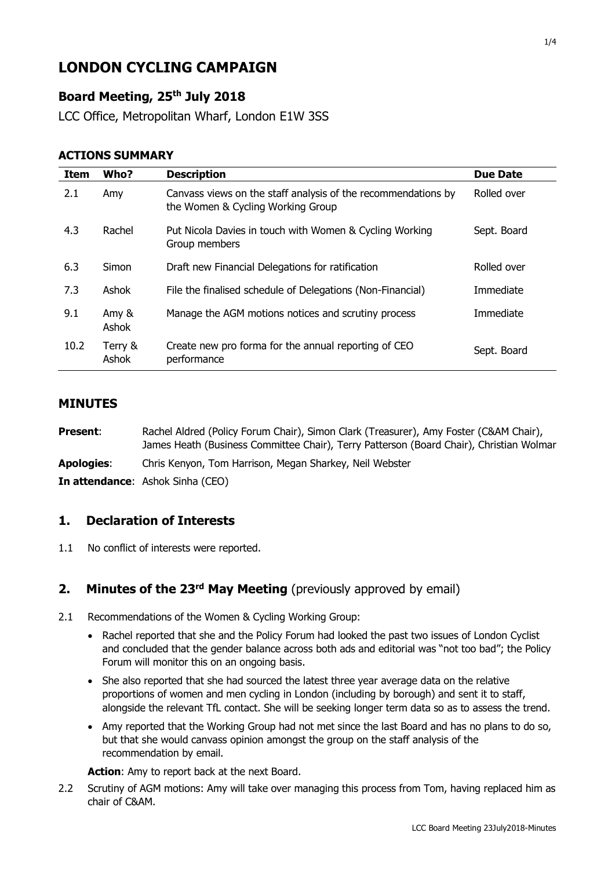# **LONDON CYCLING CAMPAIGN**

## **Board Meeting, 25th July 2018**

LCC Office, Metropolitan Wharf, London E1W 3SS

#### **ACTIONS SUMMARY**

| <b>Item</b> | Who?             | <b>Description</b>                                                                                 | <b>Due Date</b> |
|-------------|------------------|----------------------------------------------------------------------------------------------------|-----------------|
| 2.1         | Amy              | Canvass views on the staff analysis of the recommendations by<br>the Women & Cycling Working Group | Rolled over     |
| 4.3         | Rachel           | Put Nicola Davies in touch with Women & Cycling Working<br>Group members                           | Sept. Board     |
| 6.3         | Simon            | Draft new Financial Delegations for ratification                                                   | Rolled over     |
| 7.3         | Ashok            | File the finalised schedule of Delegations (Non-Financial)                                         | Immediate       |
| 9.1         | Amy &<br>Ashok   | Manage the AGM motions notices and scrutiny process                                                | Immediate       |
| 10.2        | Terry &<br>Ashok | Create new pro forma for the annual reporting of CEO<br>performance                                | Sept. Board     |

#### **MINUTES**

| <b>Present:</b>   | Rachel Aldred (Policy Forum Chair), Simon Clark (Treasurer), Amy Foster (C&AM Chair),   |
|-------------------|-----------------------------------------------------------------------------------------|
|                   | James Heath (Business Committee Chair), Terry Patterson (Board Chair), Christian Wolmar |
| <b>Apologies:</b> | Chris Kenyon, Tom Harrison, Megan Sharkey, Neil Webster                                 |
|                   | <b>In attendance:</b> Ashok Sinha (CEO)                                                 |

#### **1. Declaration of Interests**

1.1 No conflict of interests were reported.

## **2. Minutes of the 23rd May Meeting** (previously approved by email)

- 2.1 Recommendations of the Women & Cycling Working Group:
	- Rachel reported that she and the Policy Forum had looked the past two issues of London Cyclist and concluded that the gender balance across both ads and editorial was "not too bad"; the Policy Forum will monitor this on an ongoing basis.
	- She also reported that she had sourced the latest three year average data on the relative proportions of women and men cycling in London (including by borough) and sent it to staff, alongside the relevant TfL contact. She will be seeking longer term data so as to assess the trend.
	- Amy reported that the Working Group had not met since the last Board and has no plans to do so, but that she would canvass opinion amongst the group on the staff analysis of the recommendation by email.

**Action**: Amy to report back at the next Board.

2.2 Scrutiny of AGM motions: Amy will take over managing this process from Tom, having replaced him as chair of C&AM.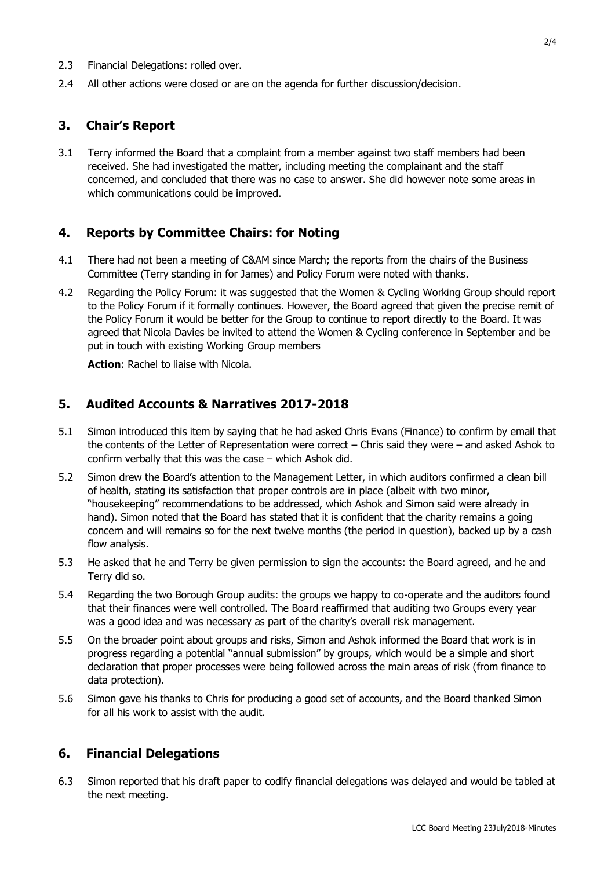- 2.3 Financial Delegations: rolled over.
- 2.4 All other actions were closed or are on the agenda for further discussion/decision.

### **3. Chair's Report**

3.1 Terry informed the Board that a complaint from a member against two staff members had been received. She had investigated the matter, including meeting the complainant and the staff concerned, and concluded that there was no case to answer. She did however note some areas in which communications could be improved.

### **4. Reports by Committee Chairs: for Noting**

- 4.1 There had not been a meeting of C&AM since March; the reports from the chairs of the Business Committee (Terry standing in for James) and Policy Forum were noted with thanks.
- 4.2 Regarding the Policy Forum: it was suggested that the Women & Cycling Working Group should report to the Policy Forum if it formally continues. However, the Board agreed that given the precise remit of the Policy Forum it would be better for the Group to continue to report directly to the Board. It was agreed that Nicola Davies be invited to attend the Women & Cycling conference in September and be put in touch with existing Working Group members

**Action**: Rachel to liaise with Nicola.

### **5. Audited Accounts & Narratives 2017-2018**

- 5.1 Simon introduced this item by saying that he had asked Chris Evans (Finance) to confirm by email that the contents of the Letter of Representation were correct – Chris said they were – and asked Ashok to confirm verbally that this was the case – which Ashok did.
- 5.2 Simon drew the Board's attention to the Management Letter, in which auditors confirmed a clean bill of health, stating its satisfaction that proper controls are in place (albeit with two minor, "housekeeping" recommendations to be addressed, which Ashok and Simon said were already in hand). Simon noted that the Board has stated that it is confident that the charity remains a going concern and will remains so for the next twelve months (the period in question), backed up by a cash flow analysis.
- 5.3 He asked that he and Terry be given permission to sign the accounts: the Board agreed, and he and Terry did so.
- 5.4 Regarding the two Borough Group audits: the groups we happy to co-operate and the auditors found that their finances were well controlled. The Board reaffirmed that auditing two Groups every year was a good idea and was necessary as part of the charity's overall risk management.
- 5.5 On the broader point about groups and risks, Simon and Ashok informed the Board that work is in progress regarding a potential "annual submission" by groups, which would be a simple and short declaration that proper processes were being followed across the main areas of risk (from finance to data protection).
- 5.6 Simon gave his thanks to Chris for producing a good set of accounts, and the Board thanked Simon for all his work to assist with the audit.

#### **6. Financial Delegations**

6.3 Simon reported that his draft paper to codify financial delegations was delayed and would be tabled at the next meeting.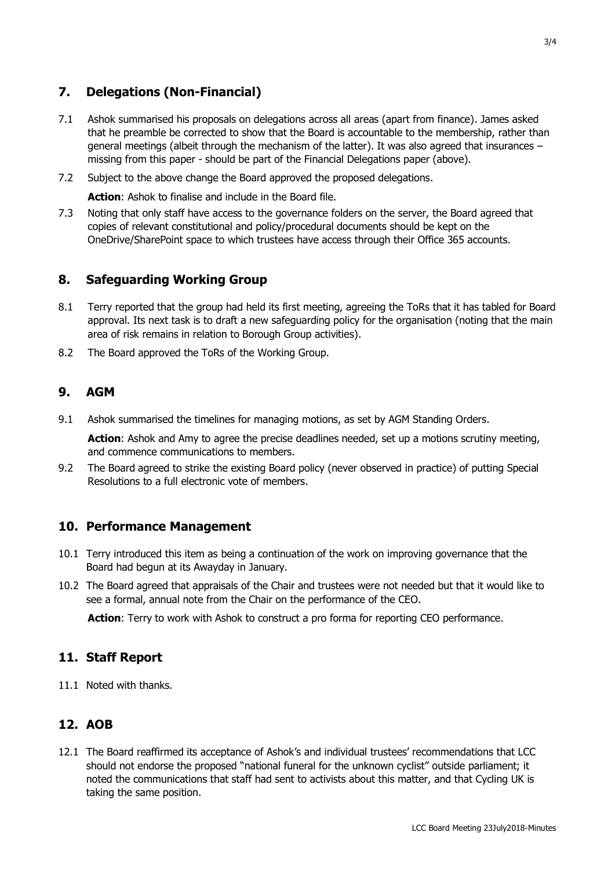## **7. Delegations (Non-Financial)**

- 7.1 Ashok summarised his proposals on delegations across all areas (apart from finance). James asked that he preamble be corrected to show that the Board is accountable to the membership, rather than general meetings (albeit through the mechanism of the latter). It was also agreed that insurances – missing from this paper - should be part of the Financial Delegations paper (above).
- 7.2 Subject to the above change the Board approved the proposed delegations.

**Action**: Ashok to finalise and include in the Board file.

7.3 Noting that only staff have access to the governance folders on the server, the Board agreed that copies of relevant constitutional and policy/procedural documents should be kept on the OneDrive/SharePoint space to which trustees have access through their Office 365 accounts.

#### **8. Safeguarding Working Group**

- 8.1 Terry reported that the group had held its first meeting, agreeing the ToRs that it has tabled for Board approval. Its next task is to draft a new safeguarding policy for the organisation (noting that the main area of risk remains in relation to Borough Group activities).
- 8.2 The Board approved the ToRs of the Working Group.

#### **9. AGM**

9.1 Ashok summarised the timelines for managing motions, as set by AGM Standing Orders.

Action: Ashok and Amy to agree the precise deadlines needed, set up a motions scrutiny meeting, and commence communications to members.

9.2 The Board agreed to strike the existing Board policy (never observed in practice) of putting Special Resolutions to a full electronic vote of members.

#### **10. Performance Management**

- 10.1 Terry introduced this item as being a continuation of the work on improving governance that the Board had begun at its Awayday in January.
- 10.2 The Board agreed that appraisals of the Chair and trustees were not needed but that it would like to see a formal, annual note from the Chair on the performance of the CEO.

**Action**: Terry to work with Ashok to construct a pro forma for reporting CEO performance.

#### **11. Staff Report**

11.1 Noted with thanks.

#### **12. AOB**

12.1 The Board reaffirmed its acceptance of Ashok's and individual trustees' recommendations that LCC should not endorse the proposed "national funeral for the unknown cyclist" outside parliament; it noted the communications that staff had sent to activists about this matter, and that Cycling UK is taking the same position.